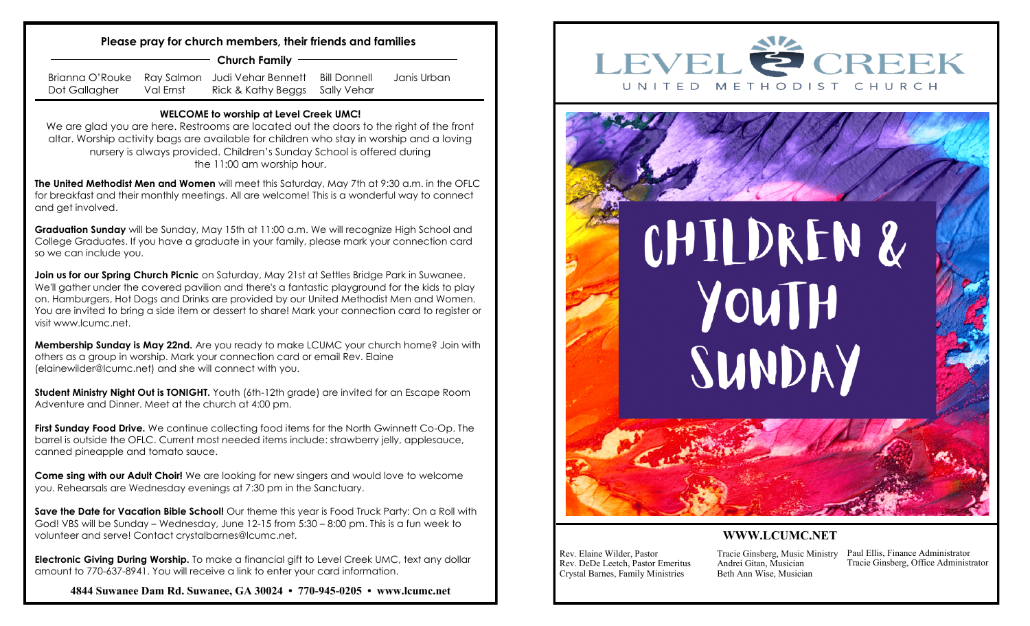## **Please pray for church members, their friends and families**

**Church Family**

Brianna O'Rouke Ray Salmon Judi Vehar Bennett Dot Gallagher Val Ernst Rick & Kathy Beggs Sally Vehar Bill Donnell Janis Urban

## **WELCOME to worship at Level Creek UMC!**

We are glad you are here. Restrooms are located out the doors to the right of the front altar. Worship activity bags are available for children who stay in worship and a loving nursery is always provided. Children's Sunday School is offered during the 11:00 am worship hour.

**The United Methodist Men and Women** will meet this Saturday, May 7th at 9:30 a.m. in the OFLC for breakfast and their monthly meetings. All are welcome! This is a wonderful way to connect and get involved.

**Graduation Sunday** will be Sunday, May 15th at 11:00 a.m. We will recognize High School and College Graduates. If you have a graduate in your family, please mark your connection card so we can include you.

**Join us for our Spring Church Picnic** on Saturday, May 21st at Settles Bridge Park in Suwanee. We'll gather under the covered pavilion and there's a fantastic playground for the kids to play on. Hamburgers, Hot Dogs and Drinks are provided by our United Methodist Men and Women. You are invited to bring a side item or dessert to share! Mark your connection card to register or visit www.lcumc.net.

**Membership Sunday is May 22nd.** Are you ready to make LCUMC your church home? Join with others as a group in worship. Mark your connection card or email Rev. Elaine [\(elainewilder@lcumc.net\)](mailto:elainewilder@lcumc.net) and she will connect with you.

**Student Ministry Night Out is TONIGHT.** Youth (6th-12th grade) are invited for an Escape Room Adventure and Dinner. Meet at the church at 4:00 pm.

**First Sunday Food Drive.** We continue collecting food items for the North Gwinnett Co-Op. The barrel is outside the OFLC. Current most needed items include: strawberry jelly, applesauce, canned pineapple and tomato sauce.

**Come sing with our Adult Choir!** We are looking for new singers and would love to welcome you. Rehearsals are Wednesday evenings at 7:30 pm in the Sanctuary.

**Save the Date for Vacation Bible School!** Our theme this year is Food Truck Party: On a Roll with God! VBS will be Sunday – Wednesday, June 12-15 from 5:30 – 8:00 pm. This is a fun week to volunteer and serve! Contact [crystalbarnes@lcumc.net.](mailto:crystalbarnes@lcumc.net)

**Electronic Giving During Worship.** To make a financial gift to Level Creek UMC, text any dollar amount to 770-637-8941. You will receive a link to enter your card information.

**4844 Suwanee Dam Rd. Suwanee, GA 30024 • 770-945-0205 • www.lcumc.net**





## **WWW.LCUMC.NET**

Rev. Elaine Wilder, Pastor Rev. DeDe Leetch, Pastor Emeritus Crystal Barnes, Family Ministries

Tracie Ginsberg, Music Ministry Andrei Gitan, Musician Beth Ann Wise, Musician

Paul Ellis, Finance Administrator Tracie Ginsberg, Office Administrator